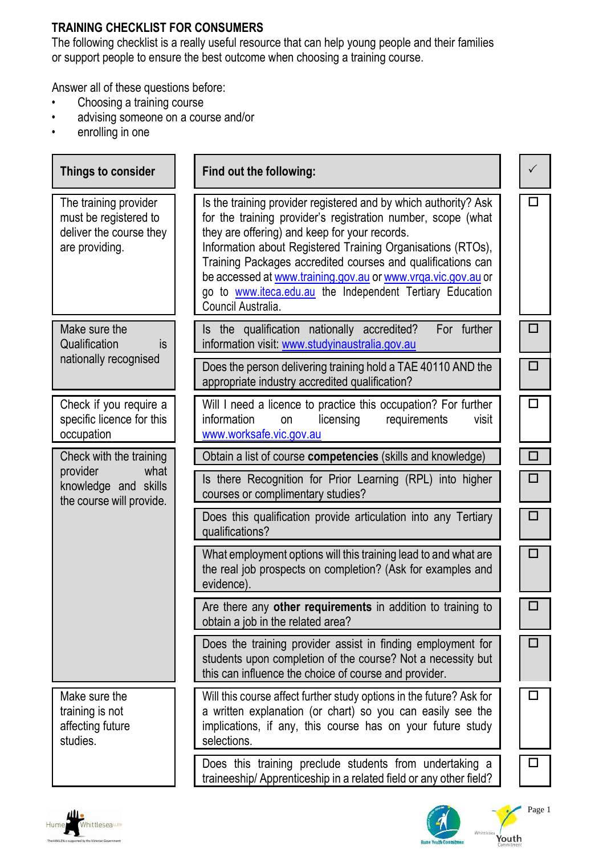## **TRAINING CHECKLIST FOR CONSUMERS**

The following checklist is a really useful resource that can help young people and their families or support people to ensure the best outcome when choosing a training course.

Answer all of these questions before:<br>
• Choosing a training course

- Choosing a training course
- advising someone on a course and/or
- enrolling in one

| Things to consider                                                                          | Find out the following:                                                                                                                                                                                                                                                                                                                                                                                                                                           |        |
|---------------------------------------------------------------------------------------------|-------------------------------------------------------------------------------------------------------------------------------------------------------------------------------------------------------------------------------------------------------------------------------------------------------------------------------------------------------------------------------------------------------------------------------------------------------------------|--------|
| The training provider<br>must be registered to<br>deliver the course they<br>are providing. | Is the training provider registered and by which authority? Ask<br>for the training provider's registration number, scope (what<br>they are offering) and keep for your records.<br>Information about Registered Training Organisations (RTOs),<br>Training Packages accredited courses and qualifications can<br>be accessed at www.training.gov.au or www.vrga.vic.gov.au or<br>go to www.iteca.edu.au the Independent Tertiary Education<br>Council Australia. | п      |
| Make sure the<br>Qualification<br>is.                                                       | Is the qualification nationally accredited?<br>For further<br>information visit: www.studyinaustralia.gov.au                                                                                                                                                                                                                                                                                                                                                      | п      |
| nationally recognised                                                                       | Does the person delivering training hold a TAE 40110 AND the<br>appropriate industry accredited qualification?                                                                                                                                                                                                                                                                                                                                                    | П      |
| Check if you require a<br>specific licence for this<br>occupation                           | Will I need a licence to practice this occupation? For further<br><i>information</i><br>licensing<br>requirements<br>on<br>visit<br>www.worksafe.vic.gov.au                                                                                                                                                                                                                                                                                                       | $\Box$ |
| Check with the training                                                                     | Obtain a list of course competencies (skills and knowledge)                                                                                                                                                                                                                                                                                                                                                                                                       | $\Box$ |
| provider<br>what<br>knowledge and skills<br>the course will provide.                        | Is there Recognition for Prior Learning (RPL) into higher<br>courses or complimentary studies?                                                                                                                                                                                                                                                                                                                                                                    | п      |
|                                                                                             | Does this qualification provide articulation into any Tertiary<br>qualifications?                                                                                                                                                                                                                                                                                                                                                                                 | п      |
|                                                                                             | What employment options will this training lead to and what are<br>the real job prospects on completion? (Ask for examples and<br>evidence).                                                                                                                                                                                                                                                                                                                      | П      |
|                                                                                             | Are there any other requirements in addition to training to<br>obtain a job in the related area?                                                                                                                                                                                                                                                                                                                                                                  | □      |
|                                                                                             | Does the training provider assist in finding employment for<br>students upon completion of the course? Not a necessity but<br>this can influence the choice of course and provider.                                                                                                                                                                                                                                                                               | $\Box$ |
| Make sure the<br>training is not<br>affecting future<br>studies.                            | Will this course affect further study options in the future? Ask for<br>a written explanation (or chart) so you can easily see the<br>implications, if any, this course has on your future study<br>selections.                                                                                                                                                                                                                                                   | п      |
|                                                                                             | Does this training preclude students from undertaking a<br>traineeship/ Apprenticeship in a related field or any other field?                                                                                                                                                                                                                                                                                                                                     | □      |







Youth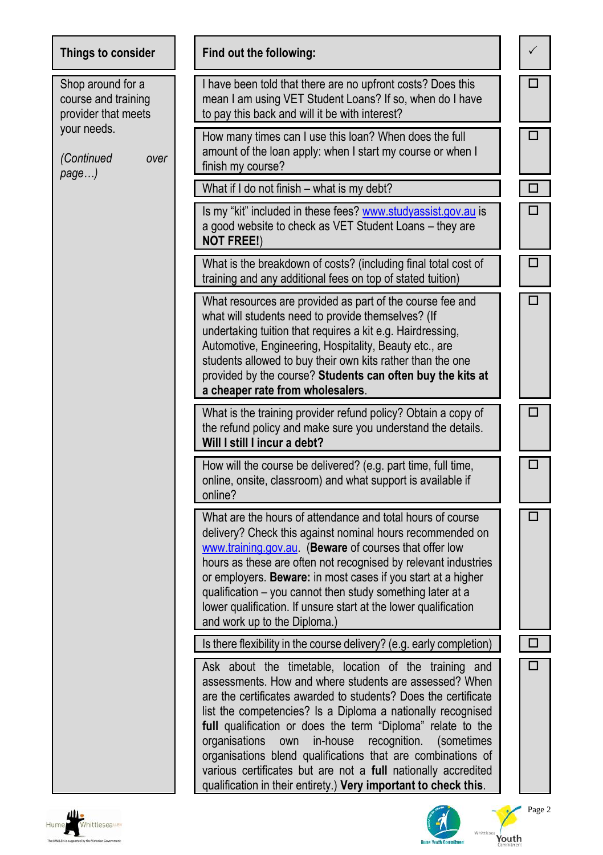| Things to consider                                              | Find out the following:                                                                                                                                                                                                                                                                                                                                                                                                                                                                                                                                                               | ✓ |
|-----------------------------------------------------------------|---------------------------------------------------------------------------------------------------------------------------------------------------------------------------------------------------------------------------------------------------------------------------------------------------------------------------------------------------------------------------------------------------------------------------------------------------------------------------------------------------------------------------------------------------------------------------------------|---|
| Shop around for a<br>course and training<br>provider that meets | I have been told that there are no upfront costs? Does this<br>mean I am using VET Student Loans? If so, when do I have<br>to pay this back and will it be with interest?                                                                                                                                                                                                                                                                                                                                                                                                             | п |
| your needs.<br>(Continued<br>over<br>page)                      | How many times can I use this loan? When does the full<br>amount of the loan apply: when I start my course or when I<br>finish my course?                                                                                                                                                                                                                                                                                                                                                                                                                                             | □ |
|                                                                 | What if I do not finish - what is my debt?                                                                                                                                                                                                                                                                                                                                                                                                                                                                                                                                            | □ |
|                                                                 | Is my "kit" included in these fees? www.studyassist.gov.au is<br>a good website to check as VET Student Loans - they are<br><b>NOT FREE!)</b>                                                                                                                                                                                                                                                                                                                                                                                                                                         | П |
|                                                                 | What is the breakdown of costs? (including final total cost of<br>training and any additional fees on top of stated tuition)                                                                                                                                                                                                                                                                                                                                                                                                                                                          | □ |
|                                                                 | What resources are provided as part of the course fee and<br>what will students need to provide themselves? (If<br>undertaking tuition that requires a kit e.g. Hairdressing,<br>Automotive, Engineering, Hospitality, Beauty etc., are<br>students allowed to buy their own kits rather than the one<br>provided by the course? Students can often buy the kits at<br>a cheaper rate from wholesalers.                                                                                                                                                                               | □ |
|                                                                 | What is the training provider refund policy? Obtain a copy of<br>the refund policy and make sure you understand the details.<br>Will I still I incur a debt?                                                                                                                                                                                                                                                                                                                                                                                                                          | □ |
|                                                                 | How will the course be delivered? (e.g. part time, full time,<br>online, onsite, classroom) and what support is available if<br>online?                                                                                                                                                                                                                                                                                                                                                                                                                                               | □ |
|                                                                 | What are the hours of attendance and total hours of course<br>delivery? Check this against nominal hours recommended on<br>www.training.gov.au. (Beware of courses that offer low<br>hours as these are often not recognised by relevant industries<br>or employers. Beware: in most cases if you start at a higher<br>qualification - you cannot then study something later at a<br>lower qualification. If unsure start at the lower qualification<br>and work up to the Diploma.)                                                                                                  | □ |
|                                                                 | Is there flexibility in the course delivery? (e.g. early completion)                                                                                                                                                                                                                                                                                                                                                                                                                                                                                                                  |   |
|                                                                 | Ask about the timetable, location of the training and<br>assessments. How and where students are assessed? When<br>are the certificates awarded to students? Does the certificate<br>list the competencies? Is a Diploma a nationally recognised<br>full qualification or does the term "Diploma" relate to the<br>recognition.<br>organisations<br>own<br>in-house<br>(sometimes)<br>organisations blend qualifications that are combinations of<br>various certificates but are not a full nationally accredited<br>qualification in their entirety.) Very important to check this. | П |